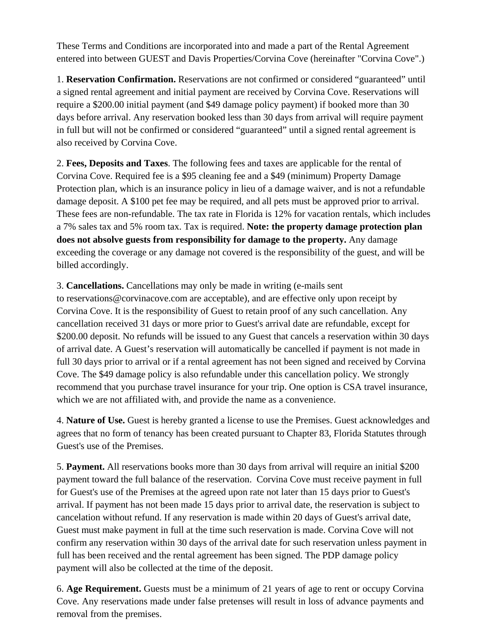These Terms and Conditions are incorporated into and made a part of the Rental Agreement entered into between GUEST and Davis Properties/Corvina Cove (hereinafter "Corvina Cove".)

1. **Reservation Confirmation.** Reservations are not confirmed or considered "guaranteed" until a signed rental agreement and initial payment are received by Corvina Cove. Reservations will require a \$200.00 initial payment (and \$49 damage policy payment) if booked more than 30 days before arrival. Any reservation booked less than 30 days from arrival will require payment in full but will not be confirmed or considered "guaranteed" until a signed rental agreement is also received by Corvina Cove.

2. **Fees, Deposits and Taxes**. The following fees and taxes are applicable for the rental of Corvina Cove. Required fee is a \$95 cleaning fee and a \$49 (minimum) Property Damage Protection plan, which is an insurance policy in lieu of a damage waiver, and is not a refundable damage deposit. A \$100 pet fee may be required, and all pets must be approved prior to arrival. These fees are non-refundable. The tax rate in Florida is 12% for vacation rentals, which includes a 7% sales tax and 5% room tax. Tax is required. **Note: the property damage protection plan does not absolve guests from responsibility for damage to the property.** Any damage exceeding the coverage or any damage not covered is the responsibility of the guest, and will be billed accordingly.

3. **Cancellations.** Cancellations may only be made in writing (e-mails sent to reservations@corvinacove.com are acceptable), and are effective only upon receipt by Corvina Cove. It is the responsibility of Guest to retain proof of any such cancellation. Any cancellation received 31 days or more prior to Guest's arrival date are refundable, except for \$200.00 deposit. No refunds will be issued to any Guest that cancels a reservation within 30 days of arrival date. A Guest's reservation will automatically be cancelled if payment is not made in full 30 days prior to arrival or if a rental agreement has not been signed and received by Corvina Cove. The \$49 damage policy is also refundable under this cancellation policy. We strongly recommend that you purchase travel insurance for your trip. One option is CSA travel insurance, which we are not affiliated with, and provide the name as a convenience.

4. **Nature of Use.** Guest is hereby granted a license to use the Premises. Guest acknowledges and agrees that no form of tenancy has been created pursuant to Chapter 83, Florida Statutes through Guest's use of the Premises.

5. **Payment.** All reservations books more than 30 days from arrival will require an initial \$200 payment toward the full balance of the reservation. Corvina Cove must receive payment in full for Guest's use of the Premises at the agreed upon rate not later than 15 days prior to Guest's arrival. If payment has not been made 15 days prior to arrival date, the reservation is subject to cancelation without refund. If any reservation is made within 20 days of Guest's arrival date, Guest must make payment in full at the time such reservation is made. Corvina Cove will not confirm any reservation within 30 days of the arrival date for such reservation unless payment in full has been received and the rental agreement has been signed. The PDP damage policy payment will also be collected at the time of the deposit.

6. **Age Requirement.** Guests must be a minimum of 21 years of age to rent or occupy Corvina Cove. Any reservations made under false pretenses will result in loss of advance payments and removal from the premises.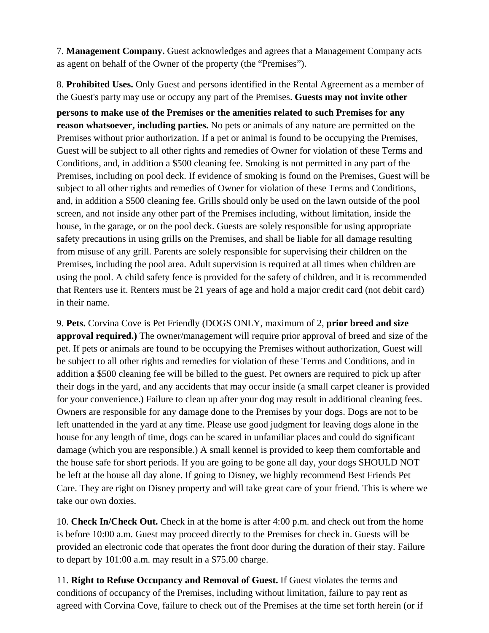7. **Management Company.** Guest acknowledges and agrees that a Management Company acts as agent on behalf of the Owner of the property (the "Premises").

8. **Prohibited Uses.** Only Guest and persons identified in the Rental Agreement as a member of the Guest's party may use or occupy any part of the Premises. **Guests may not invite other**

**persons to make use of the Premises or the amenities related to such Premises for any reason whatsoever, including parties.** No pets or animals of any nature are permitted on the Premises without prior authorization. If a pet or animal is found to be occupying the Premises, Guest will be subject to all other rights and remedies of Owner for violation of these Terms and Conditions, and, in addition a \$500 cleaning fee. Smoking is not permitted in any part of the Premises, including on pool deck. If evidence of smoking is found on the Premises, Guest will be subject to all other rights and remedies of Owner for violation of these Terms and Conditions, and, in addition a \$500 cleaning fee. Grills should only be used on the lawn outside of the pool screen, and not inside any other part of the Premises including, without limitation, inside the house, in the garage, or on the pool deck. Guests are solely responsible for using appropriate safety precautions in using grills on the Premises, and shall be liable for all damage resulting from misuse of any grill. Parents are solely responsible for supervising their children on the Premises, including the pool area. Adult supervision is required at all times when children are using the pool. A child safety fence is provided for the safety of children, and it is recommended that Renters use it. Renters must be 21 years of age and hold a major credit card (not debit card) in their name.

9. **Pets.** Corvina Cove is Pet Friendly (DOGS ONLY, maximum of 2, **prior breed and size approval required.)** The owner/management will require prior approval of breed and size of the pet. If pets or animals are found to be occupying the Premises without authorization, Guest will be subject to all other rights and remedies for violation of these Terms and Conditions, and in addition a \$500 cleaning fee will be billed to the guest. Pet owners are required to pick up after their dogs in the yard, and any accidents that may occur inside (a small carpet cleaner is provided for your convenience.) Failure to clean up after your dog may result in additional cleaning fees. Owners are responsible for any damage done to the Premises by your dogs. Dogs are not to be left unattended in the yard at any time. Please use good judgment for leaving dogs alone in the house for any length of time, dogs can be scared in unfamiliar places and could do significant damage (which you are responsible.) A small kennel is provided to keep them comfortable and the house safe for short periods. If you are going to be gone all day, your dogs SHOULD NOT be left at the house all day alone. If going to Disney, we highly recommend Best Friends Pet Care. They are right on Disney property and will take great care of your friend. This is where we take our own doxies.

10. **Check In/Check Out.** Check in at the home is after 4:00 p.m. and check out from the home is before 10:00 a.m. Guest may proceed directly to the Premises for check in. Guests will be provided an electronic code that operates the front door during the duration of their stay. Failure to depart by 101:00 a.m. may result in a \$75.00 charge.

11. **Right to Refuse Occupancy and Removal of Guest.** If Guest violates the terms and conditions of occupancy of the Premises, including without limitation, failure to pay rent as agreed with Corvina Cove, failure to check out of the Premises at the time set forth herein (or if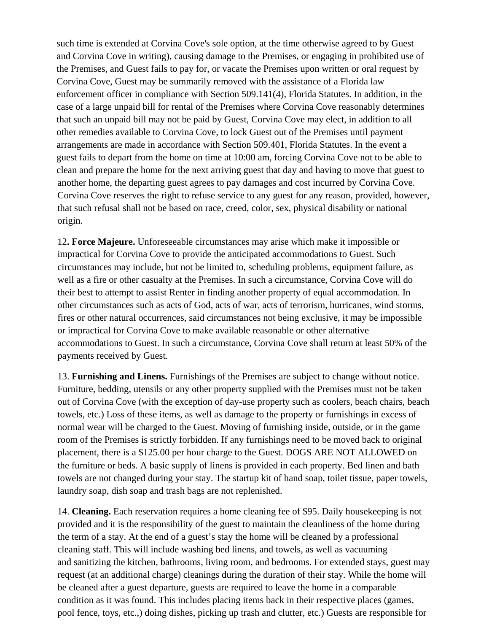such time is extended at Corvina Cove's sole option, at the time otherwise agreed to by Guest and Corvina Cove in writing), causing damage to the Premises, or engaging in prohibited use of the Premises, and Guest fails to pay for, or vacate the Premises upon written or oral request by Corvina Cove, Guest may be summarily removed with the assistance of a Florida law enforcement officer in compliance with Section 509.141(4), Florida Statutes. In addition, in the case of a large unpaid bill for rental of the Premises where Corvina Cove reasonably determines that such an unpaid bill may not be paid by Guest, Corvina Cove may elect, in addition to all other remedies available to Corvina Cove, to lock Guest out of the Premises until payment arrangements are made in accordance with Section 509.401, Florida Statutes. In the event a guest fails to depart from the home on time at 10:00 am, forcing Corvina Cove not to be able to clean and prepare the home for the next arriving guest that day and having to move that guest to another home, the departing guest agrees to pay damages and cost incurred by Corvina Cove. Corvina Cove reserves the right to refuse service to any guest for any reason, provided, however, that such refusal shall not be based on race, creed, color, sex, physical disability or national origin.

12**. Force Majeure.** Unforeseeable circumstances may arise which make it impossible or impractical for Corvina Cove to provide the anticipated accommodations to Guest. Such circumstances may include, but not be limited to, scheduling problems, equipment failure, as well as a fire or other casualty at the Premises. In such a circumstance, Corvina Cove will do their best to attempt to assist Renter in finding another property of equal accommodation. In other circumstances such as acts of God, acts of war, acts of terrorism, hurricanes, wind storms, fires or other natural occurrences, said circumstances not being exclusive, it may be impossible or impractical for Corvina Cove to make available reasonable or other alternative accommodations to Guest. In such a circumstance, Corvina Cove shall return at least 50% of the payments received by Guest.

13. **Furnishing and Linens.** Furnishings of the Premises are subject to change without notice. Furniture, bedding, utensils or any other property supplied with the Premises must not be taken out of Corvina Cove (with the exception of day-use property such as coolers, beach chairs, beach towels, etc.) Loss of these items, as well as damage to the property or furnishings in excess of normal wear will be charged to the Guest. Moving of furnishing inside, outside, or in the game room of the Premises is strictly forbidden. If any furnishings need to be moved back to original placement, there is a \$125.00 per hour charge to the Guest. DOGS ARE NOT ALLOWED on the furniture or beds. A basic supply of linens is provided in each property. Bed linen and bath towels are not changed during your stay. The startup kit of hand soap, toilet tissue, paper towels, laundry soap, dish soap and trash bags are not replenished.

14. **Cleaning.** Each reservation requires a home cleaning fee of \$95. Daily housekeeping is not provided and it is the responsibility of the guest to maintain the cleanliness of the home during the term of a stay. At the end of a guest's stay the home will be cleaned by a professional cleaning staff. This will include washing bed linens, and towels, as well as vacuuming and sanitizing the kitchen, bathrooms, living room, and bedrooms. For extended stays, guest may request (at an additional charge) cleanings during the duration of their stay. While the home will be cleaned after a guest departure, guests are required to leave the home in a comparable condition as it was found. This includes placing items back in their respective places (games, pool fence, toys, etc.,) doing dishes, picking up trash and clutter, etc.) Guests are responsible for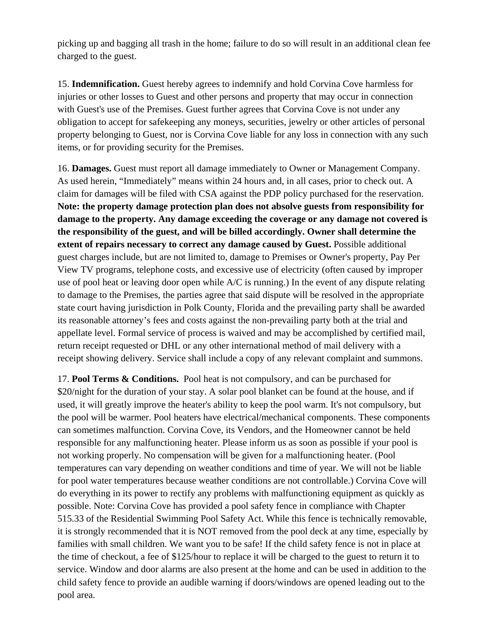picking up and bagging all trash in the home; failure to do so will result in an additional clean fee charged to the guest.

15. **Indemnification.** Guest hereby agrees to indemnify and hold Corvina Cove harmless for injuries or other losses to Guest and other persons and property that may occur in connection with Guest's use of the Premises. Guest further agrees that Corvina Cove is not under any obligation to accept for safekeeping any moneys, securities, jewelry or other articles of personal property belonging to Guest, nor is Corvina Cove liable for any loss in connection with any such items, or for providing security for the Premises.

16. **Damages.** Guest must report all damage immediately to Owner or Management Company. As used herein, "Immediately" means within 24 hours and, in all cases, prior to check out. A claim for damages will be filed with CSA against the PDP policy purchased for the reservation. **Note: the property damage protection plan does not absolve guests from responsibility for damage to the property. Any damage exceeding the coverage or any damage not covered is the responsibility of the guest, and will be billed accordingly. Owner shall determine the extent of repairs necessary to correct any damage caused by Guest.** Possible additional guest charges include, but are not limited to, damage to Premises or Owner's property, Pay Per View TV programs, telephone costs, and excessive use of electricity (often caused by improper use of pool heat or leaving door open while A/C is running.) In the event of any dispute relating to damage to the Premises, the parties agree that said dispute will be resolved in the appropriate state court having jurisdiction in Polk County, Florida and the prevailing party shall be awarded its reasonable attorney's fees and costs against the non-prevailing party both at the trial and appellate level. Formal service of process is waived and may be accomplished by certified mail, return receipt requested or DHL or any other international method of mail delivery with a receipt showing delivery. Service shall include a copy of any relevant complaint and summons.

17. **Pool Terms & Conditions.** Pool heat is not compulsory, and can be purchased for \$20/night for the duration of your stay. A solar pool blanket can be found at the house, and if used, it will greatly improve the heater's ability to keep the pool warm. It's not compulsory, but the pool will be warmer. Pool heaters have electrical/mechanical components. These components can sometimes malfunction. Corvina Cove, its Vendors, and the Homeowner cannot be held responsible for any malfunctioning heater. Please inform us as soon as possible if your pool is not working properly. No compensation will be given for a malfunctioning heater. (Pool temperatures can vary depending on weather conditions and time of year. We will not be liable for pool water temperatures because weather conditions are not controllable.) Corvina Cove will do everything in its power to rectify any problems with malfunctioning equipment as quickly as possible. Note: Corvina Cove has provided a pool safety fence in compliance with Chapter 515.33 of the Residential Swimming Pool Safety Act. While this fence is technically removable, it is strongly recommended that it is NOT removed from the pool deck at any time, especially by families with small children. We want you to be safe! If the child safety fence is not in place at the time of checkout, a fee of \$125/hour to replace it will be charged to the guest to return it to service. Window and door alarms are also present at the home and can be used in addition to the child safety fence to provide an audible warning if doors/windows are opened leading out to the pool area.